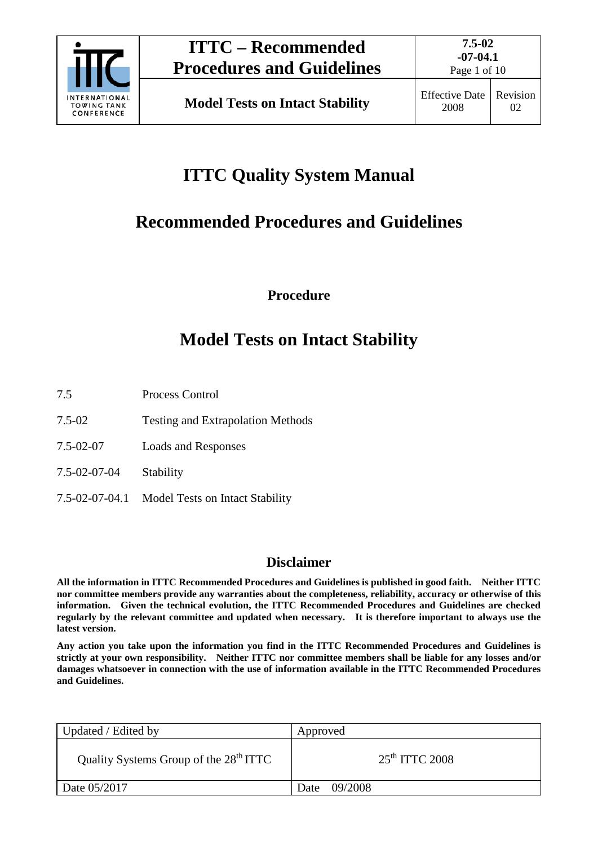

Page 1 of 10

# **ITTC Quality System Manual**

## **Recommended Procedures and Guidelines**

**Procedure**

## **Model Tests on Intact Stability**

- 7.5 Process Control
- 7.5-02 Testing and Extrapolation Methods
- 7.5-02-07 Loads and Responses
- 7.5-02-07-04 Stability
- 7.5-02-07-04.1 Model Tests on Intact Stability

#### **Disclaimer**

**All the information in ITTC Recommended Procedures and Guidelines is published in good faith. Neither ITTC nor committee members provide any warranties about the completeness, reliability, accuracy or otherwise of this information. Given the technical evolution, the ITTC Recommended Procedures and Guidelines are checked regularly by the relevant committee and updated when necessary. It is therefore important to always use the latest version.**

**Any action you take upon the information you find in the ITTC Recommended Procedures and Guidelines is strictly at your own responsibility. Neither ITTC nor committee members shall be liable for any losses and/or damages whatsoever in connection with the use of information available in the ITTC Recommended Procedures and Guidelines.**

| Updated / Edited by                                | Approved         |  |
|----------------------------------------------------|------------------|--|
| Quality Systems Group of the 28 <sup>th</sup> ITTC | $25th$ ITTC 2008 |  |
| Date 05/2017                                       | 09/2008<br>Date  |  |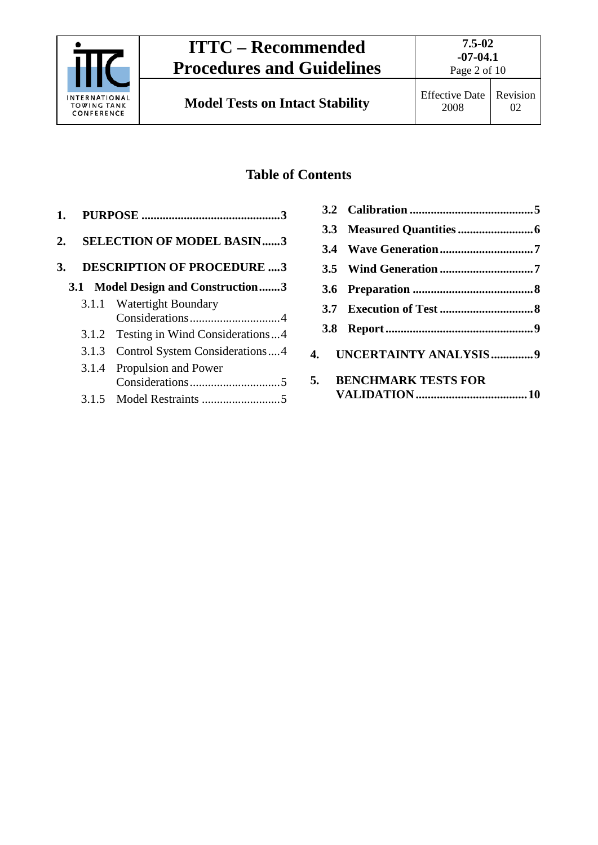

Page 2 of 10

### **Table of Contents**

| 2. SELECTION OF MODEL BASIN3   |
|--------------------------------|
| 3. DESCRIPTION OF PROCEDURE  3 |

### **3.1 [Model Design and Construction.......3](#page-2-3)**

| 3.1.1 Watertight Boundary             |
|---------------------------------------|
|                                       |
| 3.1.2 Testing in Wind Considerations4 |
| 3.1.3 Control System Considerations4  |
| 3.1.4 Propulsion and Power            |
|                                       |
|                                       |

|  | 4. UNCERTAINTY ANALYSIS9 |  |
|--|--------------------------|--|
|  | 5. BENCHMARK TESTS FOR   |  |
|  |                          |  |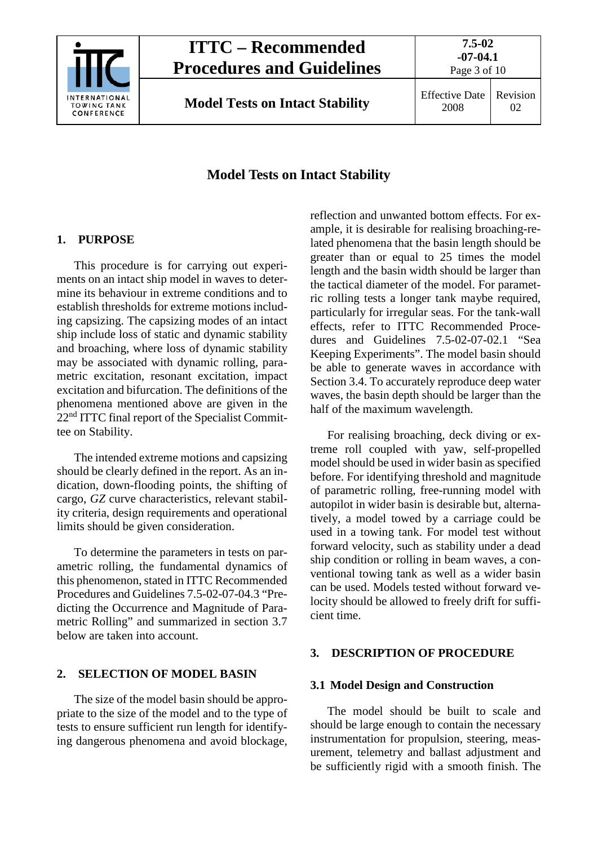

2008 Revision 02

### **Model Tests on Intact Stability**

### <span id="page-2-0"></span>**1. PURPOSE**

This procedure is for carrying out experiments on an intact ship model in waves to determine its behaviour in extreme conditions and to establish thresholds for extreme motions including capsizing. The capsizing modes of an intact ship include loss of static and dynamic stability and broaching, where loss of dynamic stability may be associated with dynamic rolling, parametric excitation, resonant excitation, impact excitation and bifurcation. The definitions of the phenomena mentioned above are given in the 22<sup>nd</sup> ITTC final report of the Specialist Committee on Stability.

The intended extreme motions and capsizing should be clearly defined in the report. As an indication, down-flooding points, the shifting of cargo, *GZ* curve characteristics, relevant stability criteria, design requirements and operational limits should be given consideration.

To determine the parameters in tests on parametric rolling, the fundamental dynamics of this phenomenon, stated in ITTC Recommended Procedures and Guidelines 7.5-02-07-04.3 "Predicting the Occurrence and Magnitude of Parametric Rolling" and summarized in section 3.7 below are taken into account.

### <span id="page-2-1"></span>**2. SELECTION OF MODEL BASIN**

The size of the model basin should be appropriate to the size of the model and to the type of tests to ensure sufficient run length for identifying dangerous phenomena and avoid blockage, reflection and unwanted bottom effects. For example, it is desirable for realising broaching-related phenomena that the basin length should be greater than or equal to 25 times the model length and the basin width should be larger than the tactical diameter of the model. For parametric rolling tests a longer tank maybe required, particularly for irregular seas. For the tank-wall effects, refer to ITTC Recommended Procedures and Guidelines 7.5-02-07-02.1 "Sea Keeping Experiments". The model basin should be able to generate waves in accordance with Section 3.4. To accurately reproduce deep water waves, the basin depth should be larger than the half of the maximum wavelength.

For realising broaching, deck diving or extreme roll coupled with yaw, self-propelled model should be used in wider basin as specified before. For identifying threshold and magnitude of parametric rolling, free-running model with autopilot in wider basin is desirable but, alternatively, a model towed by a carriage could be used in a towing tank. For model test without forward velocity, such as stability under a dead ship condition or rolling in beam waves, a conventional towing tank as well as a wider basin can be used. Models tested without forward velocity should be allowed to freely drift for sufficient time.

### <span id="page-2-3"></span><span id="page-2-2"></span>**3. DESCRIPTION OF PROCEDURE**

### **3.1 Model Design and Construction**

The model should be built to scale and should be large enough to contain the necessary instrumentation for propulsion, steering, measurement, telemetry and ballast adjustment and be sufficiently rigid with a smooth finish. The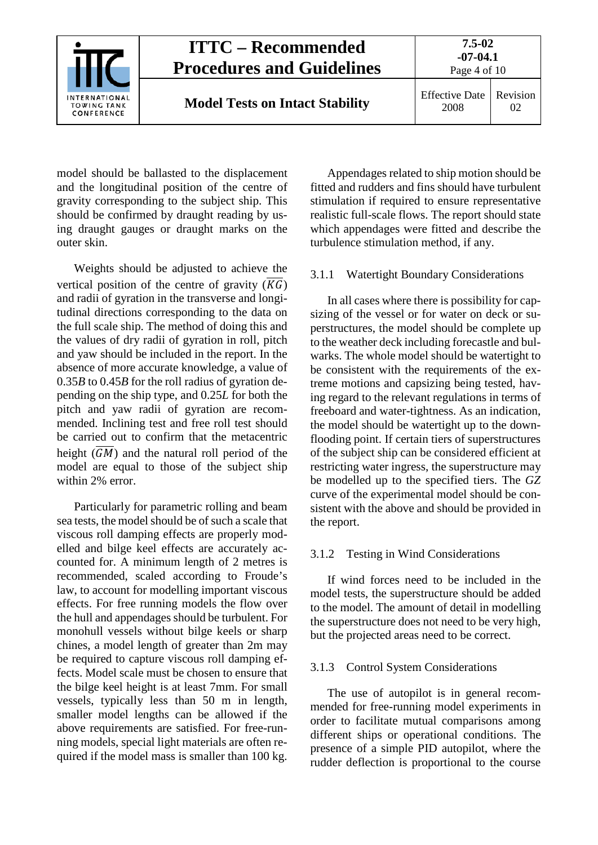

model should be ballasted to the displacement and the longitudinal position of the centre of gravity corresponding to the subject ship. This should be confirmed by draught reading by using draught gauges or draught marks on the outer skin.

Weights should be adjusted to achieve the vertical position of the centre of gravity  $(\overline{KG})$ and radii of gyration in the transverse and longitudinal directions corresponding to the data on the full scale ship. The method of doing this and the values of dry radii of gyration in roll, pitch and yaw should be included in the report. In the absence of more accurate knowledge, a value of 0.35*B* to 0.45*B* for the roll radius of gyration depending on the ship type, and 0.25*L* for both the pitch and yaw radii of gyration are recommended. Inclining test and free roll test should be carried out to confirm that the metacentric height  $(\overline{GM})$  and the natural roll period of the model are equal to those of the subject ship within 2% error.

Particularly for parametric rolling and beam sea tests, the model should be of such a scale that viscous roll damping effects are properly modelled and bilge keel effects are accurately accounted for. A minimum length of 2 metres is recommended, scaled according to Froude's law, to account for modelling important viscous effects. For free running models the flow over the hull and appendages should be turbulent. For monohull vessels without bilge keels or sharp chines, a model length of greater than 2m may be required to capture viscous roll damping effects. Model scale must be chosen to ensure that the bilge keel height is at least 7mm. For small vessels, typically less than 50 m in length, smaller model lengths can be allowed if the above requirements are satisfied. For free-running models, special light materials are often required if the model mass is smaller than 100 kg.

Appendages related to ship motion should be fitted and rudders and fins should have turbulent stimulation if required to ensure representative realistic full-scale flows. The report should state which appendages were fitted and describe the turbulence stimulation method, if any.

#### <span id="page-3-0"></span>3.1.1 Watertight Boundary Considerations

In all cases where there is possibility for capsizing of the vessel or for water on deck or superstructures, the model should be complete up to the weather deck including forecastle and bulwarks. The whole model should be watertight to be consistent with the requirements of the extreme motions and capsizing being tested, having regard to the relevant regulations in terms of freeboard and water-tightness. As an indication, the model should be watertight up to the downflooding point. If certain tiers of superstructures of the subject ship can be considered efficient at restricting water ingress, the superstructure may be modelled up to the specified tiers. The *GZ* curve of the experimental model should be consistent with the above and should be provided in the report.

#### <span id="page-3-1"></span>3.1.2 Testing in Wind Considerations

If wind forces need to be included in the model tests, the superstructure should be added to the model. The amount of detail in modelling the superstructure does not need to be very high, but the projected areas need to be correct.

#### <span id="page-3-2"></span>3.1.3 Control System Considerations

The use of autopilot is in general recommended for free-running model experiments in order to facilitate mutual comparisons among different ships or operational conditions. The presence of a simple PID autopilot, where the rudder deflection is proportional to the course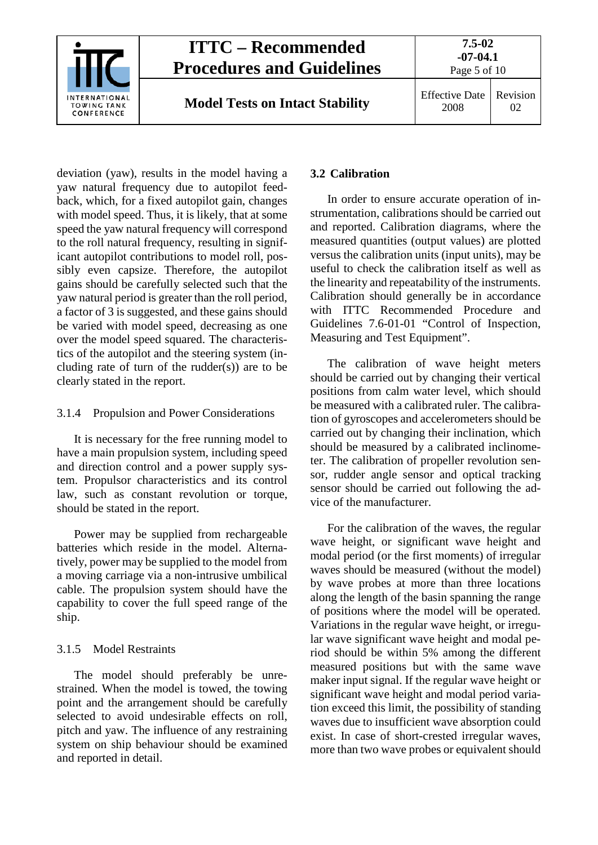

deviation (yaw), results in the model having a yaw natural frequency due to autopilot feedback, which, for a fixed autopilot gain, changes with model speed. Thus, it is likely, that at some speed the yaw natural frequency will correspond to the roll natural frequency, resulting in significant autopilot contributions to model roll, possibly even capsize. Therefore, the autopilot gains should be carefully selected such that the yaw natural period is greater than the roll period, a factor of 3 is suggested, and these gains should be varied with model speed, decreasing as one over the model speed squared. The characteristics of the autopilot and the steering system (including rate of turn of the rudder(s)) are to be clearly stated in the report.

#### <span id="page-4-0"></span>3.1.4 Propulsion and Power Considerations

It is necessary for the free running model to have a main propulsion system, including speed and direction control and a power supply system. Propulsor characteristics and its control law, such as constant revolution or torque, should be stated in the report.

Power may be supplied from rechargeable batteries which reside in the model. Alternatively, power may be supplied to the model from a moving carriage via a non-intrusive umbilical cable. The propulsion system should have the capability to cover the full speed range of the ship.

### <span id="page-4-1"></span>3.1.5 Model Restraints

The model should preferably be unrestrained. When the model is towed, the towing point and the arrangement should be carefully selected to avoid undesirable effects on roll, pitch and yaw. The influence of any restraining system on ship behaviour should be examined and reported in detail.

### <span id="page-4-2"></span>**3.2 Calibration**

In order to ensure accurate operation of instrumentation, calibrations should be carried out and reported. Calibration diagrams, where the measured quantities (output values) are plotted versus the calibration units (input units), may be useful to check the calibration itself as well as the linearity and repeatability of the instruments. Calibration should generally be in accordance with ITTC Recommended Procedure and Guidelines 7.6-01-01 "Control of Inspection, Measuring and Test Equipment".

The calibration of wave height meters should be carried out by changing their vertical positions from calm water level, which should be measured with a calibrated ruler. The calibration of gyroscopes and accelerometers should be carried out by changing their inclination, which should be measured by a calibrated inclinometer. The calibration of propeller revolution sensor, rudder angle sensor and optical tracking sensor should be carried out following the advice of the manufacturer.

For the calibration of the waves, the regular wave height, or significant wave height and modal period (or the first moments) of irregular waves should be measured (without the model) by wave probes at more than three locations along the length of the basin spanning the range of positions where the model will be operated. Variations in the regular wave height, or irregular wave significant wave height and modal period should be within 5% among the different measured positions but with the same wave maker input signal. If the regular wave height or significant wave height and modal period variation exceed this limit, the possibility of standing waves due to insufficient wave absorption could exist. In case of short-crested irregular waves, more than two wave probes or equivalent should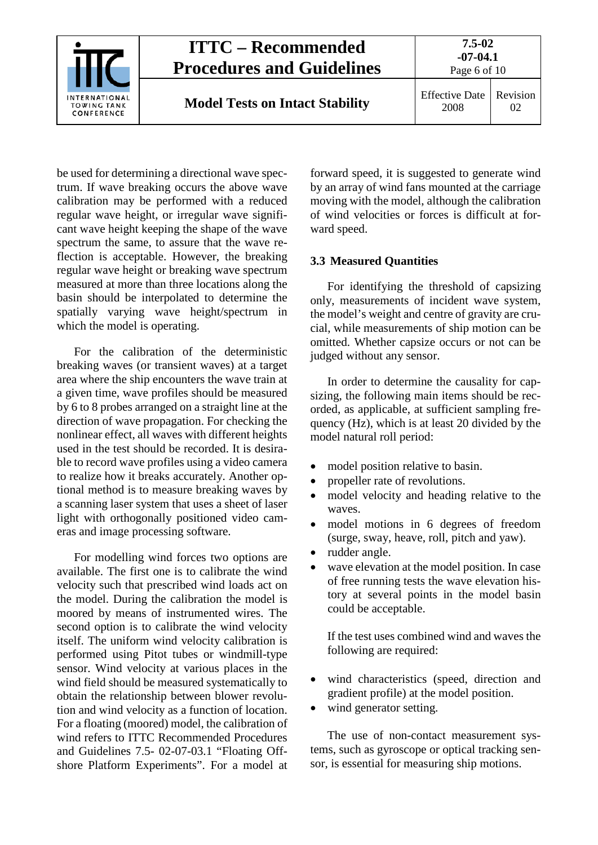

be used for determining a directional wave spectrum. If wave breaking occurs the above wave calibration may be performed with a reduced regular wave height, or irregular wave significant wave height keeping the shape of the wave spectrum the same, to assure that the wave reflection is acceptable. However, the breaking regular wave height or breaking wave spectrum measured at more than three locations along the basin should be interpolated to determine the spatially varying wave height/spectrum in which the model is operating.

For the calibration of the deterministic breaking waves (or transient waves) at a target area where the ship encounters the wave train at a given time, wave profiles should be measured by 6 to 8 probes arranged on a straight line at the direction of wave propagation. For checking the nonlinear effect, all waves with different heights used in the test should be recorded. It is desirable to record wave profiles using a video camera to realize how it breaks accurately. Another optional method is to measure breaking waves by a scanning laser system that uses a sheet of laser light with orthogonally positioned video cameras and image processing software.

For modelling wind forces two options are available. The first one is to calibrate the wind velocity such that prescribed wind loads act on the model. During the calibration the model is moored by means of instrumented wires. The second option is to calibrate the wind velocity itself. The uniform wind velocity calibration is performed using Pitot tubes or windmill-type sensor. Wind velocity at various places in the wind field should be measured systematically to obtain the relationship between blower revolution and wind velocity as a function of location. For a floating (moored) model, the calibration of wind refers to ITTC Recommended Procedures and Guidelines 7.5- 02-07-03.1 "Floating Offshore Platform Experiments". For a model at

forward speed, it is suggested to generate wind by an array of wind fans mounted at the carriage moving with the model, although the calibration of wind velocities or forces is difficult at forward speed.

#### <span id="page-5-0"></span>**3.3 Measured Quantities**

For identifying the threshold of capsizing only, measurements of incident wave system, the model's weight and centre of gravity are crucial, while measurements of ship motion can be omitted. Whether capsize occurs or not can be judged without any sensor.

In order to determine the causality for capsizing, the following main items should be recorded, as applicable, at sufficient sampling frequency (Hz), which is at least 20 divided by the model natural roll period:

- model position relative to basin.
- propeller rate of revolutions.
- model velocity and heading relative to the waves.
- model motions in 6 degrees of freedom (surge, sway, heave, roll, pitch and yaw).
- rudder angle.
- wave elevation at the model position. In case of free running tests the wave elevation history at several points in the model basin could be acceptable.

If the test uses combined wind and waves the following are required:

- wind characteristics (speed, direction and gradient profile) at the model position.
- wind generator setting.

The use of non-contact measurement systems, such as gyroscope or optical tracking sensor, is essential for measuring ship motions.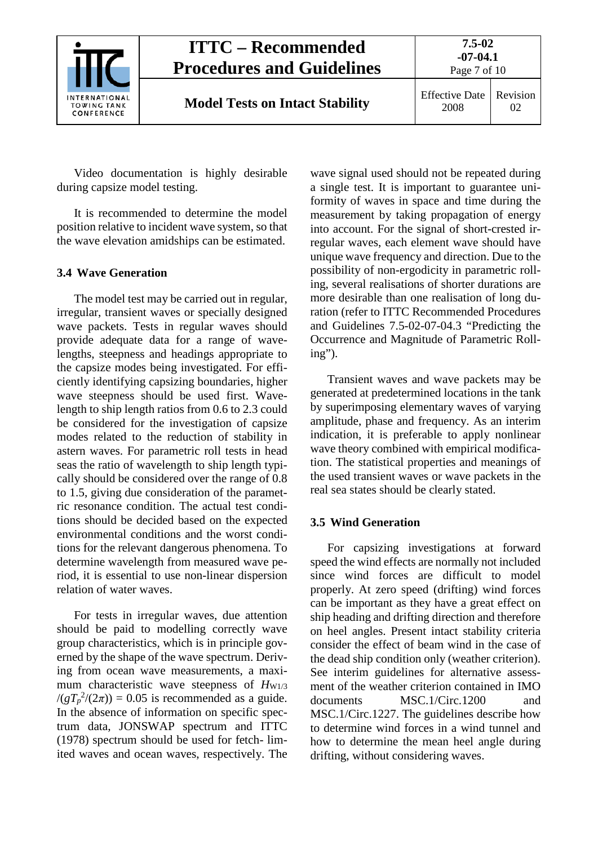

2008 Revision 02

Video documentation is highly desirable during capsize model testing.

It is recommended to determine the model position relative to incident wave system, so that the wave elevation amidships can be estimated.

### <span id="page-6-0"></span>**3.4 Wave Generation**

The model test may be carried out in regular, irregular, transient waves or specially designed wave packets. Tests in regular waves should provide adequate data for a range of wavelengths, steepness and headings appropriate to the capsize modes being investigated. For efficiently identifying capsizing boundaries, higher wave steepness should be used first. Wavelength to ship length ratios from 0.6 to 2.3 could be considered for the investigation of capsize modes related to the reduction of stability in astern waves. For parametric roll tests in head seas the ratio of wavelength to ship length typically should be considered over the range of 0.8 to 1.5, giving due consideration of the parametric resonance condition. The actual test conditions should be decided based on the expected environmental conditions and the worst conditions for the relevant dangerous phenomena. To determine wavelength from measured wave period, it is essential to use non-linear dispersion relation of water waves.

For tests in irregular waves, due attention should be paid to modelling correctly wave group characteristics, which is in principle governed by the shape of the wave spectrum. Deriving from ocean wave measurements, a maximum characteristic wave steepness of  $H_{W1/3}$  $/(gT_p^2/(2\pi)) = 0.05$  is recommended as a guide. In the absence of information on specific spectrum data, JONSWAP spectrum and ITTC (1978) spectrum should be used for fetch- limited waves and ocean waves, respectively. The

wave signal used should not be repeated during a single test. It is important to guarantee uniformity of waves in space and time during the measurement by taking propagation of energy into account. For the signal of short-crested irregular waves, each element wave should have unique wave frequency and direction. Due to the possibility of non-ergodicity in parametric rolling, several realisations of shorter durations are more desirable than one realisation of long duration (refer to ITTC Recommended Procedures and Guidelines 7.5-02-07-04.3 "Predicting the Occurrence and Magnitude of Parametric Rolling").

Transient waves and wave packets may be generated at predetermined locations in the tank by superimposing elementary waves of varying amplitude, phase and frequency. As an interim indication, it is preferable to apply nonlinear wave theory combined with empirical modification. The statistical properties and meanings of the used transient waves or wave packets in the real sea states should be clearly stated.

### <span id="page-6-1"></span>**3.5 Wind Generation**

For capsizing investigations at forward speed the wind effects are normally not included since wind forces are difficult to model properly. At zero speed (drifting) wind forces can be important as they have a great effect on ship heading and drifting direction and therefore on heel angles. Present intact stability criteria consider the effect of beam wind in the case of the dead ship condition only (weather criterion). See interim guidelines for alternative assessment of the weather criterion contained in IMO documents MSC.1/Circ.1200 and MSC.1/Circ.1227. The guidelines describe how to determine wind forces in a wind tunnel and how to determine the mean heel angle during drifting, without considering waves.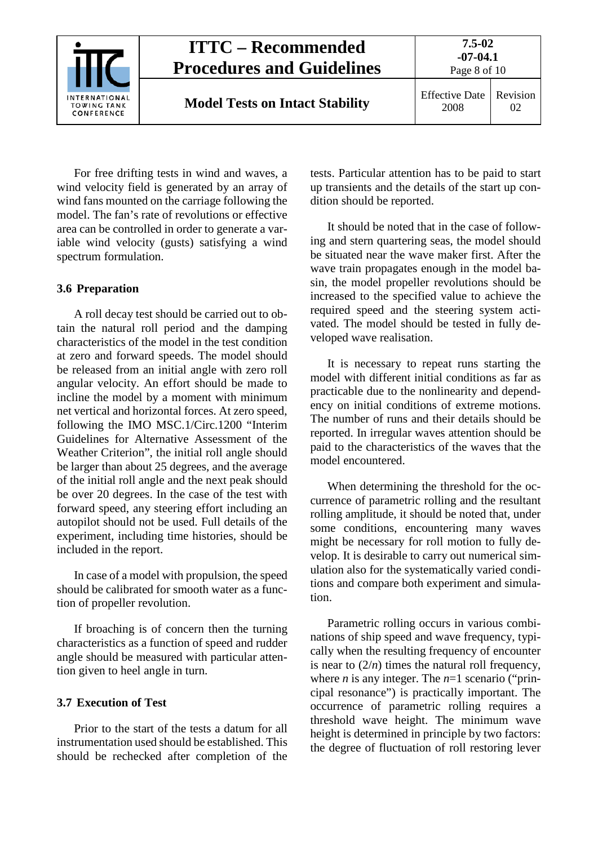

For free drifting tests in wind and waves, a wind velocity field is generated by an array of wind fans mounted on the carriage following the model. The fan's rate of revolutions or effective area can be controlled in order to generate a variable wind velocity (gusts) satisfying a wind spectrum formulation.

### <span id="page-7-0"></span>**3.6 Preparation**

A roll decay test should be carried out to obtain the natural roll period and the damping characteristics of the model in the test condition at zero and forward speeds. The model should be released from an initial angle with zero roll angular velocity. An effort should be made to incline the model by a moment with minimum net vertical and horizontal forces. At zero speed, following the IMO MSC.1/Circ.1200 "Interim Guidelines for Alternative Assessment of the Weather Criterion", the initial roll angle should be larger than about 25 degrees, and the average of the initial roll angle and the next peak should be over 20 degrees. In the case of the test with forward speed, any steering effort including an autopilot should not be used. Full details of the experiment, including time histories, should be included in the report.

In case of a model with propulsion, the speed should be calibrated for smooth water as a function of propeller revolution.

If broaching is of concern then the turning characteristics as a function of speed and rudder angle should be measured with particular attention given to heel angle in turn.

### <span id="page-7-1"></span>**3.7 Execution of Test**

Prior to the start of the tests a datum for all instrumentation used should be established. This should be rechecked after completion of the

tests. Particular attention has to be paid to start up transients and the details of the start up condition should be reported.

It should be noted that in the case of following and stern quartering seas, the model should be situated near the wave maker first. After the wave train propagates enough in the model basin, the model propeller revolutions should be increased to the specified value to achieve the required speed and the steering system activated. The model should be tested in fully developed wave realisation.

It is necessary to repeat runs starting the model with different initial conditions as far as practicable due to the nonlinearity and dependency on initial conditions of extreme motions. The number of runs and their details should be reported. In irregular waves attention should be paid to the characteristics of the waves that the model encountered.

When determining the threshold for the occurrence of parametric rolling and the resultant rolling amplitude, it should be noted that, under some conditions, encountering many waves might be necessary for roll motion to fully develop. It is desirable to carry out numerical simulation also for the systematically varied conditions and compare both experiment and simulation.

Parametric rolling occurs in various combinations of ship speed and wave frequency, typically when the resulting frequency of encounter is near to  $(2/n)$  times the natural roll frequency, where *n* is any integer. The  $n=1$  scenario ("principal resonance") is practically important. The occurrence of parametric rolling requires a threshold wave height. The minimum wave height is determined in principle by two factors: the degree of fluctuation of roll restoring lever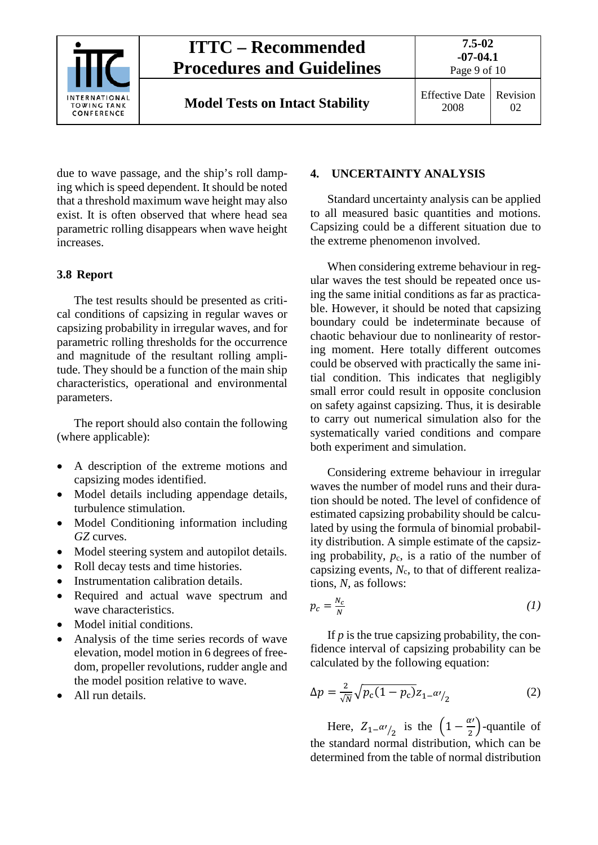

**Model Tests on Intact Stability** Effective Date

2008

due to wave passage, and the ship's roll damping which is speed dependent. It should be noted that a threshold maximum wave height may also exist. It is often observed that where head sea parametric rolling disappears when wave height increases.

### <span id="page-8-0"></span>**3.8 Report**

The test results should be presented as critical conditions of capsizing in regular waves or capsizing probability in irregular waves, and for parametric rolling thresholds for the occurrence and magnitude of the resultant rolling amplitude. They should be a function of the main ship characteristics, operational and environmental parameters.

The report should also contain the following (where applicable):

- A description of the extreme motions and capsizing modes identified.
- Model details including appendage details, turbulence stimulation.
- Model Conditioning information including *GZ* curves.
- Model steering system and autopilot details.
- Roll decay tests and time histories.
- Instrumentation calibration details.
- Required and actual wave spectrum and wave characteristics.
- Model initial conditions.
- Analysis of the time series records of wave elevation, model motion in 6 degrees of freedom, propeller revolutions, rudder angle and the model position relative to wave.
- All run details.

### <span id="page-8-1"></span>**4. UNCERTAINTY ANALYSIS**

Standard uncertainty analysis can be applied to all measured basic quantities and motions. Capsizing could be a different situation due to the extreme phenomenon involved.

When considering extreme behaviour in regular waves the test should be repeated once using the same initial conditions as far as practicable. However, it should be noted that capsizing boundary could be indeterminate because of chaotic behaviour due to nonlinearity of restoring moment. Here totally different outcomes could be observed with practically the same initial condition. This indicates that negligibly small error could result in opposite conclusion on safety against capsizing. Thus, it is desirable to carry out numerical simulation also for the systematically varied conditions and compare both experiment and simulation.

Considering extreme behaviour in irregular waves the number of model runs and their duration should be noted. The level of confidence of estimated capsizing probability should be calculated by using the formula of binomial probability distribution. A simple estimate of the capsizing probability,  $p_c$ , is a ratio of the number of capsizing events,  $N_c$ , to that of different realizations, *N,* as follows:

$$
p_c = \frac{N_c}{N} \tag{1}
$$

If *p* is the true capsizing probability, the confidence interval of capsizing probability can be calculated by the following equation:

$$
\Delta p = \frac{2}{\sqrt{N}} \sqrt{p_c (1 - p_c)} z_{1 - \alpha' / 2}
$$
 (2)

Here,  $Z_{1}$ – $\alpha$ <sup>'</sup>/<sub>2</sub> is the  $\left(1-\frac{\alpha}{2}\right)$ -quantile of the standard normal distribution, which can be determined from the table of normal distribution